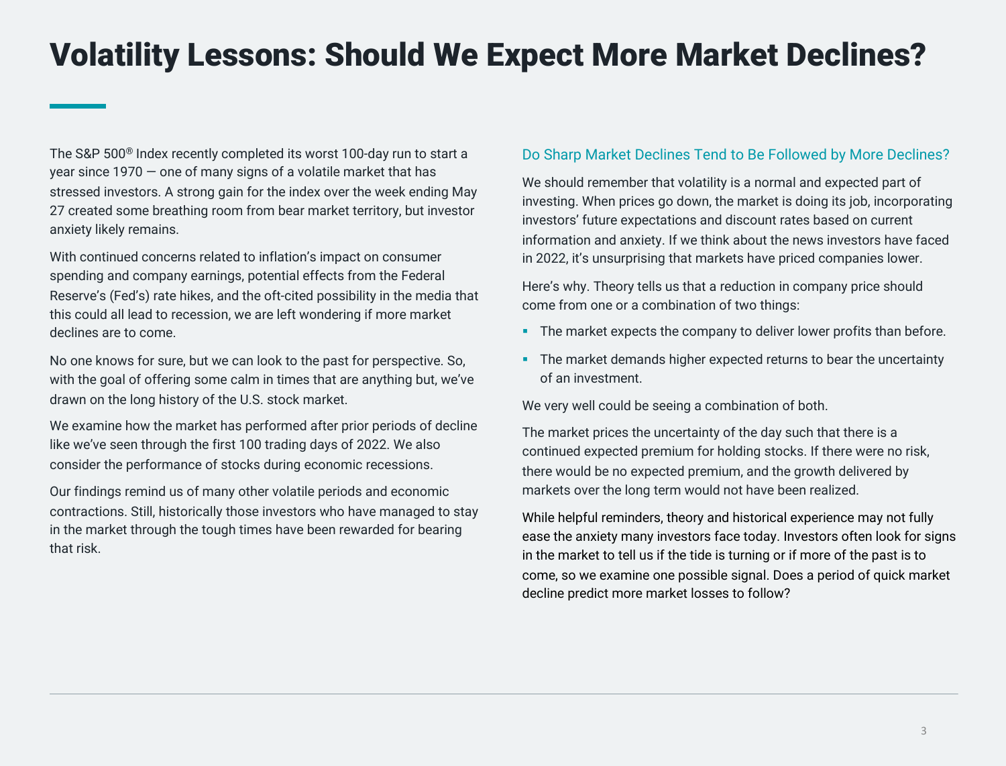The S&P 500® Index recently completed its worst 100-day run to start a year since 1970 — one of many signs of a volatile market that has stressed investors. A strong gain for the index over the week ending May 27 created some breathing room from bear market territory, but investor anxiety likely remains.

With continued concerns related to inflation's impact on consumer spending and company earnings, potential effects from the Federal Reserve's (Fed's) rate hikes, and the oft-cited possibility in the media that this could all lead to recession, we are left wondering if more market declines are to come.

No one knows for sure, but we can look to the past for perspective. So, with the goal of offering some calm in times that are anything but, we've drawn on the long history of the U.S. stock market.

We examine how the market has performed after prior periods of decline like we've seen through the first 100 trading days of 2022. We also consider the performance of stocks during economic recessions.

Our findings remind us of many other volatile periods and economic contractions. Still, historically those investors who have managed to stay in the market through the tough times have been rewarded for bearing that risk.

#### Do Sharp Market Declines Tend to Be Followed by More Declines?

We should remember that volatility is a normal and expected part of investing. When prices go down, the market is doing its job, incorporating investors' future expectations and discount rates based on current information and anxiety. If we think about the news investors have faced in 2022, it's unsurprising that markets have priced companies lower.

Here's why. Theory tells us that a reduction in company price should come from one or a combination of two things:

- The market expects the company to deliver lower profits than before.
- The market demands higher expected returns to bear the uncertainty of an investment.

We very well could be seeing a combination of both.

The market prices the uncertainty of the day such that there is a continued expected premium for holding stocks. If there were no risk, there would be no expected premium, and the growth delivered by markets over the long term would not have been realized.

While helpful reminders, theory and historical experience may not fully ease the anxiety many investors face today. Investors often look for signs in the market to tell us if the tide is turning or if more of the past is to come, so we examine one possible signal. Does a period of quick market decline predict more market losses to follow?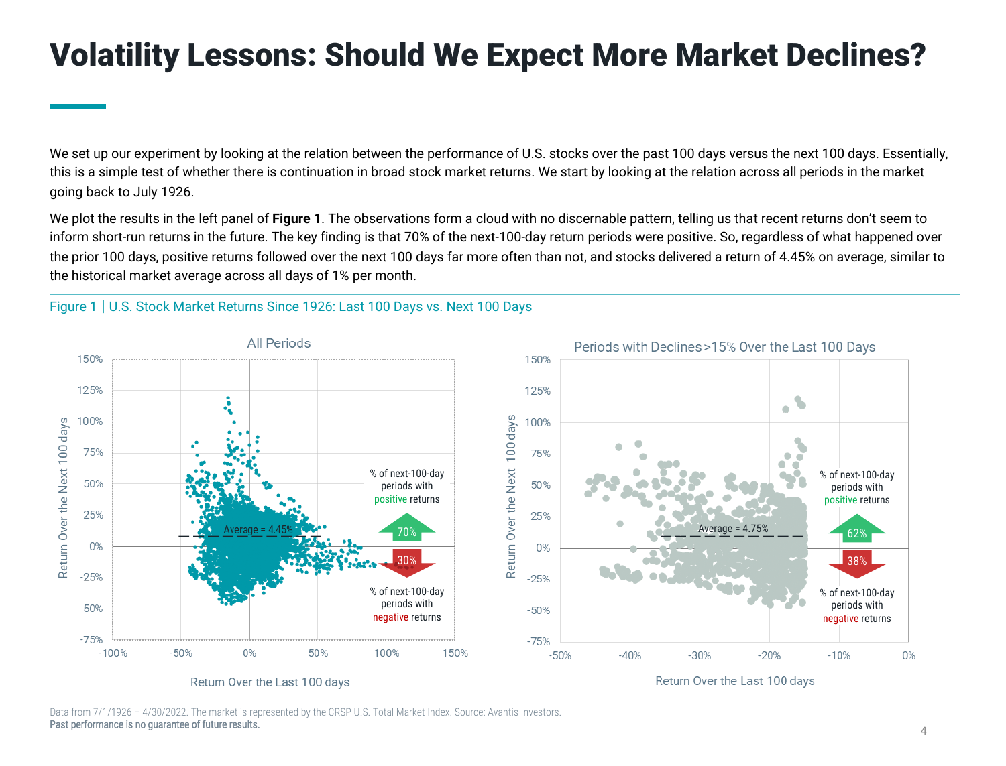We set up our experiment by looking at the relation between the performance of U.S. stocks over the past 100 days versus the next 100 days. Essentially, this is a simple test of whether there is continuation in broad stock market returns. We start by looking at the relation across all periods in the market going back to July 1926.

We plot the results in the left panel of **Figure 1**. The observations form a cloud with no discernable pattern, telling us that recent returns don't seem to inform short-run returns in the future. The key finding is that 70% of the next-100-day return periods were positive. So, regardless of what happened over the prior 100 days, positive returns followed over the next 100 days far more often than not, and stocks delivered a return of 4.45% on average, similar to the historical market average across all days of 1% per month.

#### Figure 1 | U.S. Stock Market Returns Since 1926: Last 100 Days vs. Next 100 Days



Data from 7/1/1926 – 4/30/2022. The market is represented by the CRSP U.S. Total Market Index. Source: Avantis Investors. Past performance is no guarantee of future results.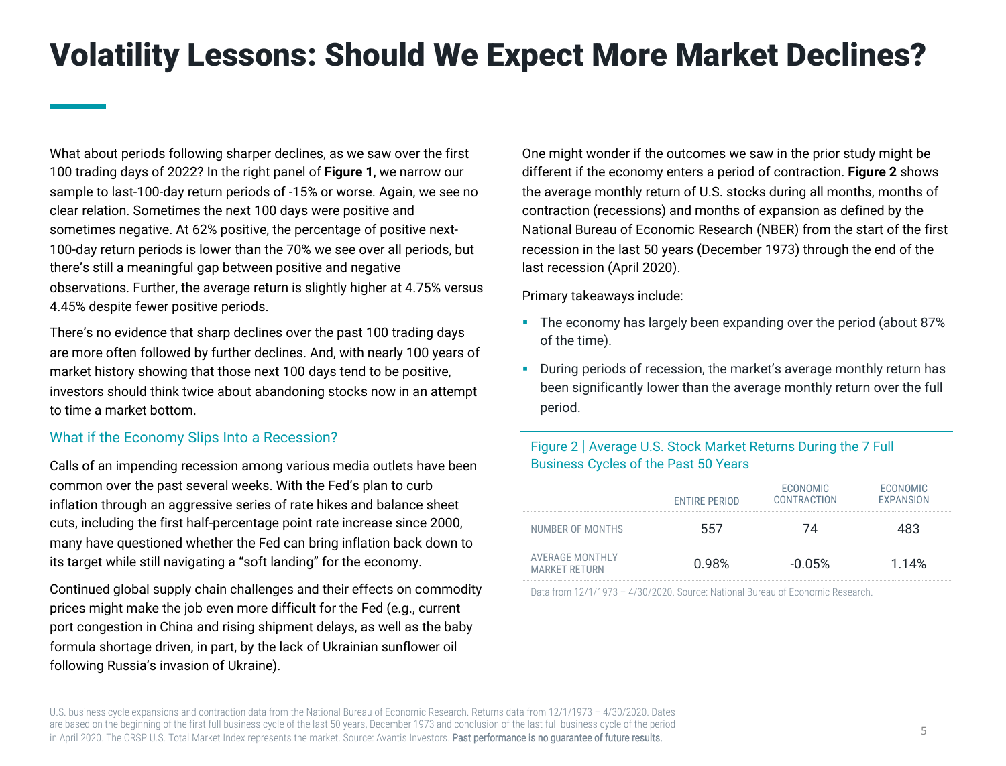What about periods following sharper declines, as we saw over the first 100 trading days of 2022? In the right panel of **Figure 1**, we narrow our sample to last-100-day return periods of -15% or worse. Again, we see no clear relation. Sometimes the next 100 days were positive and sometimes negative. At 62% positive, the percentage of positive next-100-day return periods is lower than the 70% we see over all periods, but there's still a meaningful gap between positive and negative observations. Further, the average return is slightly higher at 4.75% versus 4.45% despite fewer positive periods.

There's no evidence that sharp declines over the past 100 trading days are more often followed by further declines. And, with nearly 100 years of market history showing that those next 100 days tend to be positive, investors should think twice about abandoning stocks now in an attempt to time a market bottom.

#### What if the Economy Slips Into a Recession?

Calls of an impending recession among various media outlets have been common over the past several weeks. With the Fed's plan to curb inflation through an aggressive series of rate hikes and balance sheet cuts, including the first half-percentage point rate increase since 2000, many have questioned whether the Fed can bring inflation back down to its target while still navigating a "soft landing" for the economy.

Continued global supply chain challenges and their effects on commodity prices might make the job even more difficult for the Fed (e.g., current port congestion in China and rising shipment delays, as well as the baby formula shortage driven, in part, by the lack of Ukrainian sunflower oil following Russia's invasion of Ukraine).

One might wonder if the outcomes we saw in the prior study might be different if the economy enters a period of contraction. **Figure 2** shows the average monthly return of U.S. stocks during all months, months of contraction (recessions) and months of expansion as defined by the National Bureau of Economic Research (NBER) from the start of the first recession in the last 50 years (December 1973) through the end of the last recession (April 2020).

Primary takeaways include:

- The economy has largely been expanding over the period (about 87%) of the time).
- During periods of recession, the market's average monthly return has been significantly lower than the average monthly return over the full period.

#### Figure 2 | Average U.S. Stock Market Returns During the 7 Full Business Cycles of the Past 50 Years

|                                                | <b>ENTIRE PERIOD</b> | <b>ECONOMIC</b><br>CONTRACTION | <b>FCONOMIC</b><br><b>FXPANSION</b> |
|------------------------------------------------|----------------------|--------------------------------|-------------------------------------|
| NUMBER OF MONTHS                               |                      |                                |                                     |
| <b>AVERAGE MONTHLY</b><br><b>MARKET RETURN</b> | 0.98%                | -0.05%                         | 1 14%                               |

Data from 12/1/1973 – 4/30/2020. Source: National Bureau of Economic Research.

U.S. business cycle expansions and contraction data from the National Bureau of Economic Research. Returns data from 12/1/1973 – 4/30/2020. Dates are based on the beginning of the first full business cycle of the last 50 years, December 1973 and conclusion of the last full business cycle of the period in April 2020. The CRSP U.S. Total Market Index represents the market. Source: Avantis Investors. Past performance is no quarantee of future results.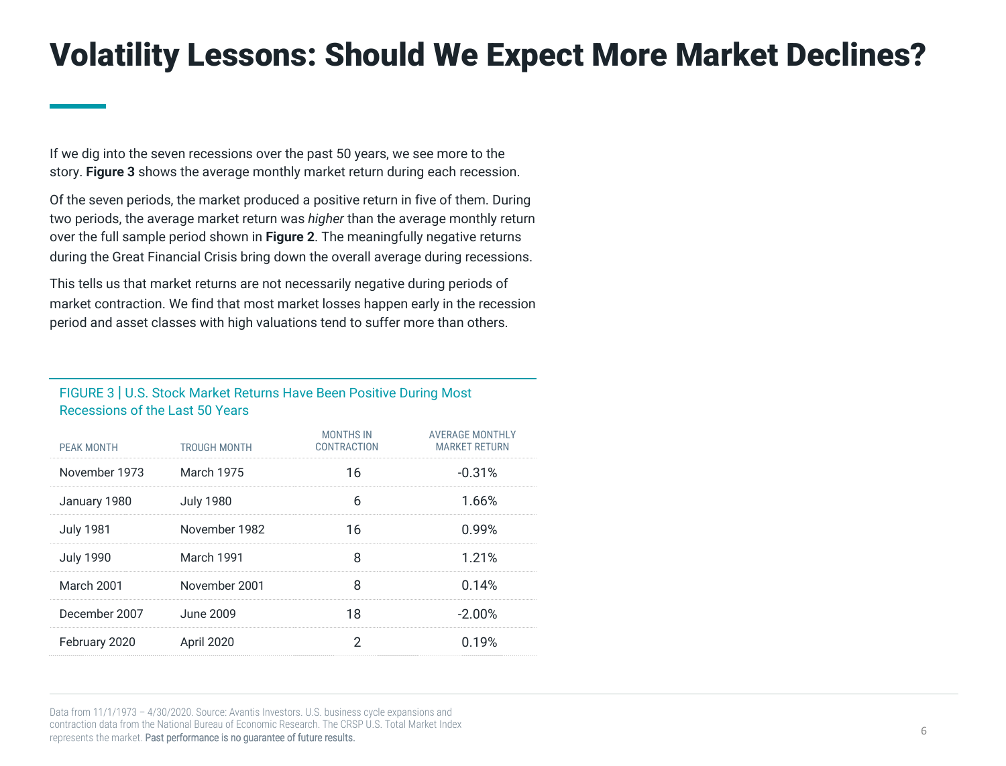If we dig into the seven recessions over the past 50 years, we see more to the story. **Figure 3** shows the average monthly market return during each recession.

Of the seven periods, the market produced a positive return in five of them. During two periods, the average market return was *higher* than the average monthly return over the full sample period shown in **Figure 2**. The meaningfully negative returns during the Great Financial Crisis bring down the overall average during recessions.

This tells us that market returns are not necessarily negative during periods of market contraction. We find that most market losses happen early in the recession period and asset classes with high valuations tend to suffer more than others.

#### FIGURE 3 | U.S. Stock Market Returns Have Been Positive During Most Recessions of the Last 50 Years

| PEAK MONTH       | TROUGH MONTH      | <b>MONTHS IN</b><br>CONTRACTION | <b>AVERAGE MONTHLY</b><br><b>MARKET RETURN</b> |
|------------------|-------------------|---------------------------------|------------------------------------------------|
| November 1973    | <b>March 1975</b> | 16                              | $-0.31%$                                       |
| January 1980     | <b>July 1980</b>  | 6                               | 1.66%                                          |
| <b>July 1981</b> | November 1982     | 16                              | 0.99%                                          |
| <b>July 1990</b> | March 1991        | Զ                               | 1.21%                                          |
| March 2001       | November 2001     | Զ                               | 0.14%                                          |
| December 2007    | June 2009         | 18                              | $-2.00%$                                       |
| February 2020    | <b>April 2020</b> |                                 | 0.19%                                          |
|                  |                   |                                 |                                                |

Data from 11/1/1973 – 4/30/2020. Source: Avantis Investors. U.S. business cycle expansions and contraction data from the National Bureau of Economic Research. The CRSP U.S. Total Market Index represents the market. Past performance is no guarantee of future results.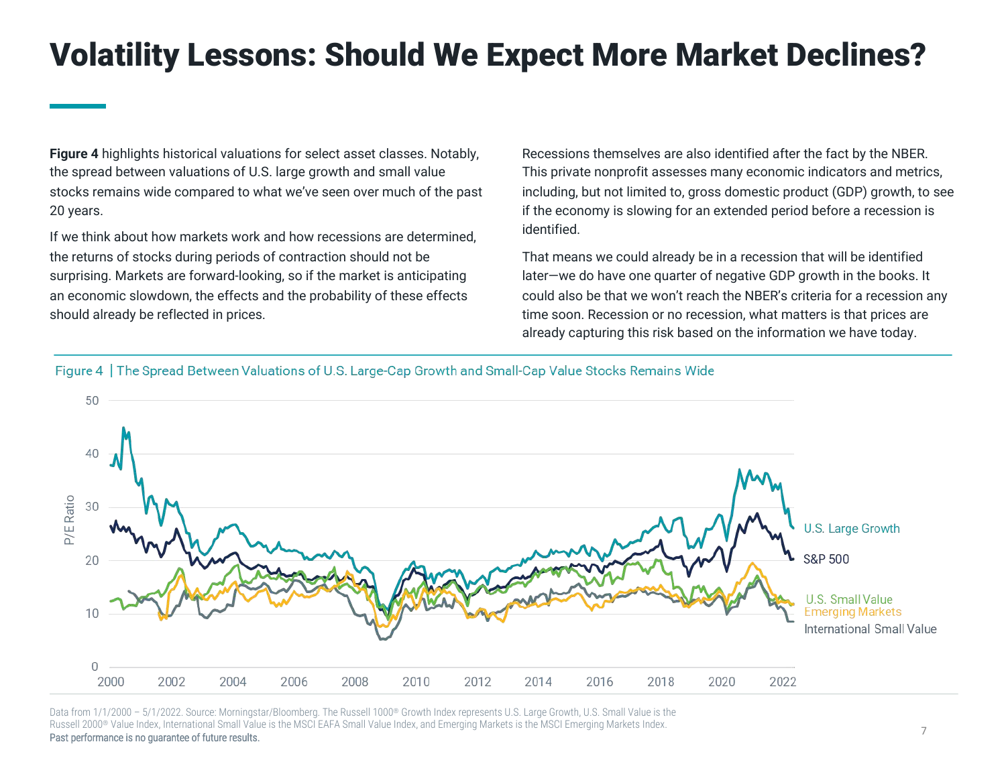**Figure 4** highlights historical valuations for select asset classes. Notably, the spread between valuations of U.S. large growth and small value stocks remains wide compared to what we've seen over much of the past 20 years.

If we think about how markets work and how recessions are determined, the returns of stocks during periods of contraction should not be surprising. Markets are forward-looking, so if the market is anticipating an economic slowdown, the effects and the probability of these effects should already be reflected in prices.

Recessions themselves are also identified after the fact by the NBER. This private nonprofit assesses many economic indicators and metrics, including, but not limited to, gross domestic product (GDP) growth, to see if the economy is slowing for an extended period before a recession is identified.

That means we could already be in a recession that will be identified later—we do have one quarter of negative GDP growth in the books. It could also be that we won't reach the NBER's criteria for a recession any time soon. Recession or no recession, what matters is that prices are already capturing this risk based on the information we have today.

Figure 4 | The Spread Between Valuations of U.S. Large-Cap Growth and Small-Cap Value Stocks Remains Wide



Data from 1/1/2000 - 5/1/2022. Source: Morningstar/Bloomberg. The Russell 1000® Growth Index represents U.S. Large Growth. U.S. Small Value is the Russell 2000® Value Index, International Small Value is the MSCI EAFA Small Value Index, and Emerging Markets is the MSCI Emerging Markets Index.

Past performance is no guarantee of future results.